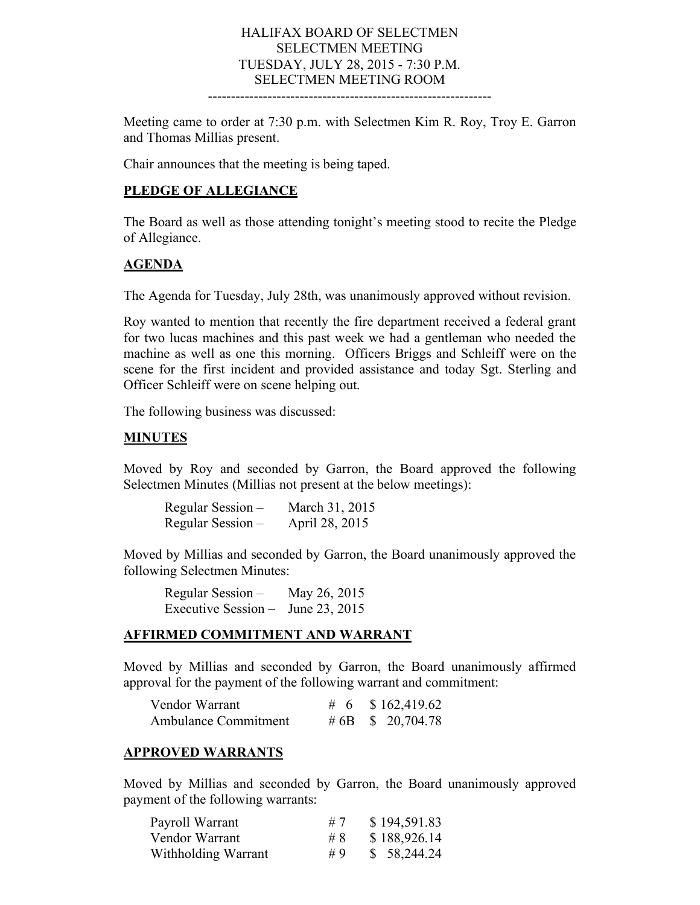# HALIFAX BOARD OF SELECTMEN SELECTMEN MEETING TUESDAY, JULY 28, 2015 - 7:30 P.M. SELECTMEN MEETING ROOM

--------------------------------------------------------------

Meeting came to order at 7:30 p.m. with Selectmen Kim R. Roy, Troy E. Garron and Thomas Millias present.

Chair announces that the meeting is being taped.

#### **PLEDGE OF ALLEGIANCE**

The Board as well as those attending tonight's meeting stood to recite the Pledge of Allegiance.

#### **AGENDA**

The Agenda for Tuesday, July 28th, was unanimously approved without revision.

Roy wanted to mention that recently the fire department received a federal grant for two lucas machines and this past week we had a gentleman who needed the machine as well as one this morning. Officers Briggs and Schleiff were on the scene for the first incident and provided assistance and today Sgt. Sterling and Officer Schleiff were on scene helping out.

The following business was discussed:

#### **MINUTES**

Moved by Roy and seconded by Garron, the Board approved the following Selectmen Minutes (Millias not present at the below meetings):

| Regular Session – | March 31, 2015 |
|-------------------|----------------|
| Regular Session – | April 28, 2015 |

Moved by Millias and seconded by Garron, the Board unanimously approved the following Selectmen Minutes:

Regular Session – May 26, 2015 Executive Session – June 23, 2015

### **AFFIRMED COMMITMENT AND WARRANT**

Moved by Millias and seconded by Garron, the Board unanimously affirmed approval for the payment of the following warrant and commitment:

| Vendor Warrant              | # 6 $$162,419.62$      |
|-----------------------------|------------------------|
| <b>Ambulance Commitment</b> | # 6B $\,$ \$ 20,704.78 |

#### **APPROVED WARRANTS**

Moved by Millias and seconded by Garron, the Board unanimously approved payment of the following warrants:

| Payroll Warrant     | #7 | \$194,591.83 |
|---------------------|----|--------------|
| Vendor Warrant      | #8 | \$188,926.14 |
| Withholding Warrant | #9 | \$58,244.24  |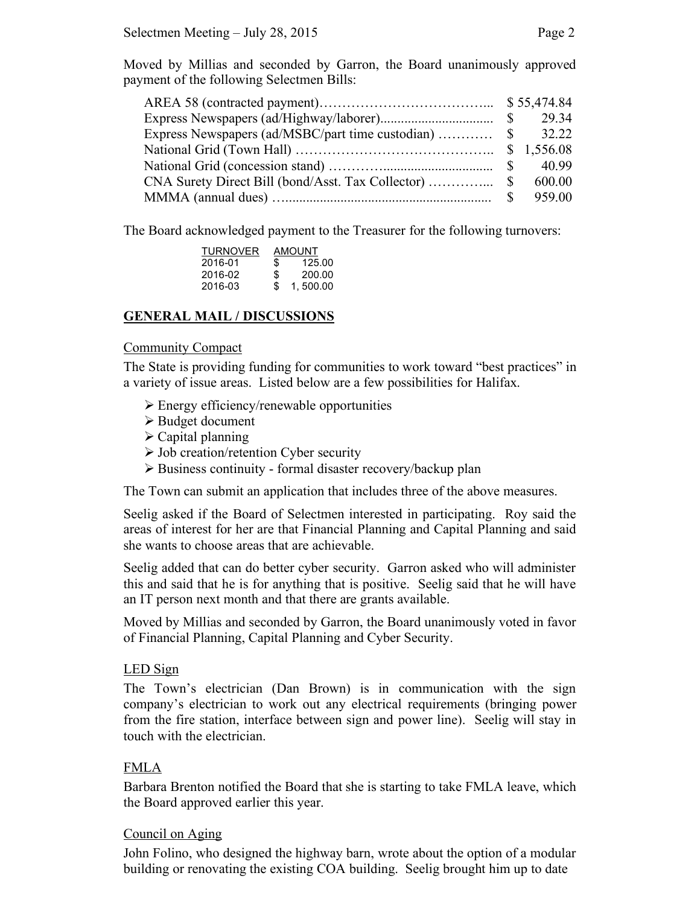Moved by Millias and seconded by Garron, the Board unanimously approved payment of the following Selectmen Bills:

|                                                                                                                       | 32.22  |
|-----------------------------------------------------------------------------------------------------------------------|--------|
|                                                                                                                       |        |
|                                                                                                                       | 40.99  |
|                                                                                                                       | 600.00 |
| MMMA (annual dues) $\ldots$ $\ldots$ $\ldots$ $\ldots$ $\ldots$ $\ldots$ $\ldots$ $\ldots$ $\ldots$ $\ldots$ $\ldots$ | 959.00 |

The Board acknowledged payment to the Treasurer for the following turnovers:

|     | AMOUNT   |  |
|-----|----------|--|
| S   | 125.00   |  |
| S   | 200.00   |  |
| \$. | 1,500.00 |  |
|     |          |  |

## **GENERAL MAIL / DISCUSSIONS**

#### Community Compact

The State is providing funding for communities to work toward "best practices" in a variety of issue areas. Listed below are a few possibilities for Halifax.

- $\triangleright$  Energy efficiency/renewable opportunities
- Budget document
- $\triangleright$  Capital planning
- $\triangleright$  Job creation/retention Cyber security
- $\triangleright$  Business continuity formal disaster recovery/backup plan

The Town can submit an application that includes three of the above measures.

Seelig asked if the Board of Selectmen interested in participating. Roy said the areas of interest for her are that Financial Planning and Capital Planning and said she wants to choose areas that are achievable.

Seelig added that can do better cyber security. Garron asked who will administer this and said that he is for anything that is positive. Seelig said that he will have an IT person next month and that there are grants available.

Moved by Millias and seconded by Garron, the Board unanimously voted in favor of Financial Planning, Capital Planning and Cyber Security.

#### LED Sign

The Town's electrician (Dan Brown) is in communication with the sign company's electrician to work out any electrical requirements (bringing power from the fire station, interface between sign and power line). Seelig will stay in touch with the electrician.

#### FMLA

Barbara Brenton notified the Board that she is starting to take FMLA leave, which the Board approved earlier this year.

#### Council on Aging

John Folino, who designed the highway barn, wrote about the option of a modular building or renovating the existing COA building. Seelig brought him up to date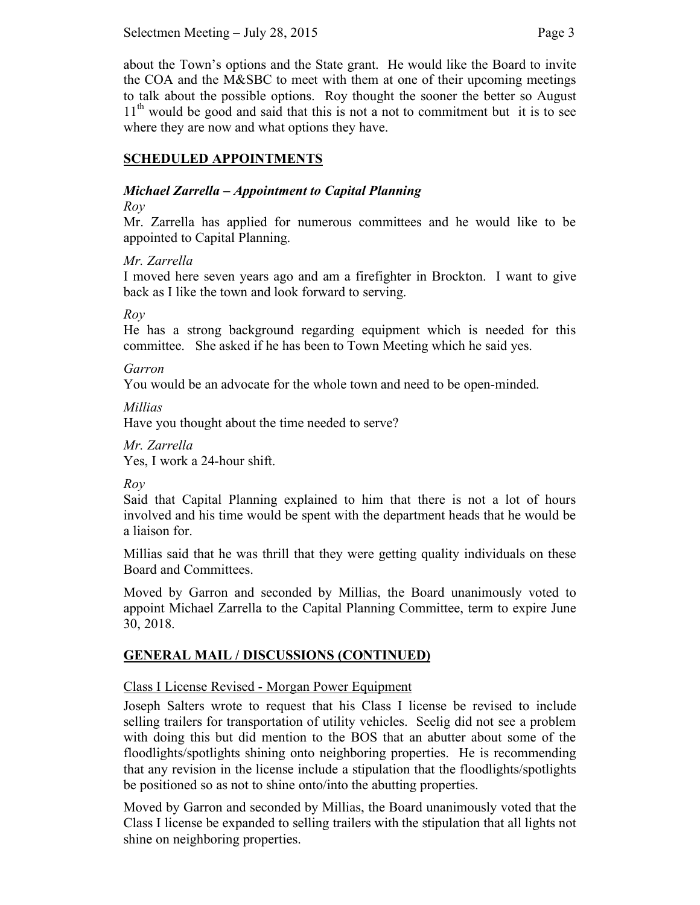about the Town's options and the State grant. He would like the Board to invite the COA and the M&SBC to meet with them at one of their upcoming meetings to talk about the possible options. Roy thought the sooner the better so August  $11<sup>th</sup>$  would be good and said that this is not a not to commitment but it is to see where they are now and what options they have.

# **SCHEDULED APPOINTMENTS**

# *Michael Zarrella – Appointment to Capital Planning*

### *Roy*

Mr. Zarrella has applied for numerous committees and he would like to be appointed to Capital Planning.

# *Mr. Zarrella*

I moved here seven years ago and am a firefighter in Brockton. I want to give back as I like the town and look forward to serving.

*Roy* 

He has a strong background regarding equipment which is needed for this committee. She asked if he has been to Town Meeting which he said yes.

## *Garron*

You would be an advocate for the whole town and need to be open-minded.

*Millias* 

Have you thought about the time needed to serve?

*Mr. Zarrella* Yes, I work a 24-hour shift.

*Roy*

Said that Capital Planning explained to him that there is not a lot of hours involved and his time would be spent with the department heads that he would be a liaison for.

Millias said that he was thrill that they were getting quality individuals on these Board and Committees.

Moved by Garron and seconded by Millias, the Board unanimously voted to appoint Michael Zarrella to the Capital Planning Committee, term to expire June 30, 2018.

# **GENERAL MAIL / DISCUSSIONS (CONTINUED)**

# Class I License Revised - Morgan Power Equipment

Joseph Salters wrote to request that his Class I license be revised to include selling trailers for transportation of utility vehicles. Seelig did not see a problem with doing this but did mention to the BOS that an abutter about some of the floodlights/spotlights shining onto neighboring properties. He is recommending that any revision in the license include a stipulation that the floodlights/spotlights be positioned so as not to shine onto/into the abutting properties.

Moved by Garron and seconded by Millias, the Board unanimously voted that the Class I license be expanded to selling trailers with the stipulation that all lights not shine on neighboring properties.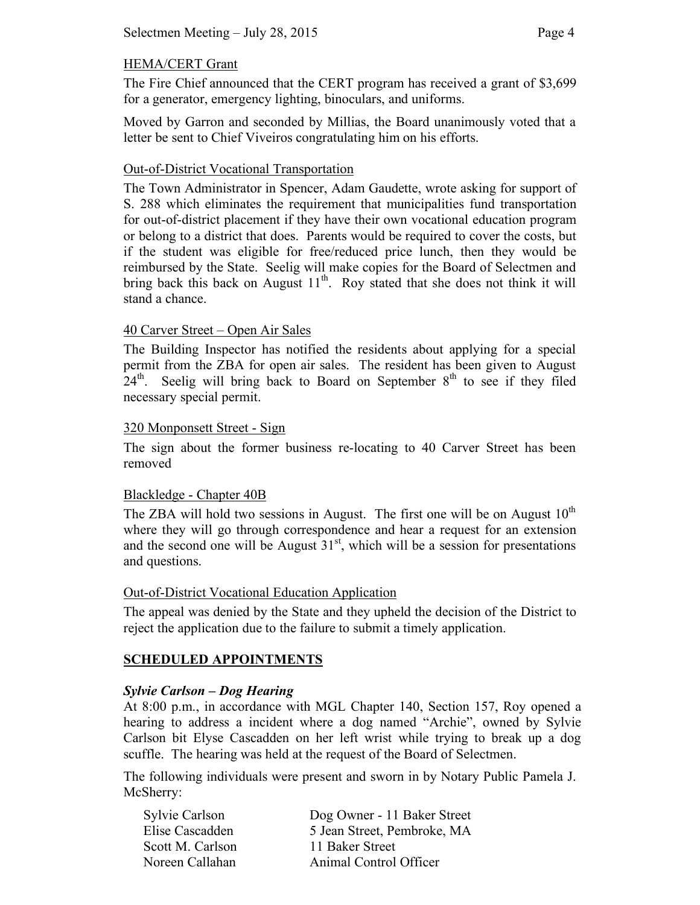# HEMA/CERT Grant

The Fire Chief announced that the CERT program has received a grant of \$3,699 for a generator, emergency lighting, binoculars, and uniforms.

Moved by Garron and seconded by Millias, the Board unanimously voted that a letter be sent to Chief Viveiros congratulating him on his efforts.

### Out-of-District Vocational Transportation

The Town Administrator in Spencer, Adam Gaudette, wrote asking for support of S. 288 which eliminates the requirement that municipalities fund transportation for out-of-district placement if they have their own vocational education program or belong to a district that does. Parents would be required to cover the costs, but if the student was eligible for free/reduced price lunch, then they would be reimbursed by the State. Seelig will make copies for the Board of Selectmen and bring back this back on August  $11<sup>th</sup>$ . Roy stated that she does not think it will stand a chance.

## 40 Carver Street – Open Air Sales

The Building Inspector has notified the residents about applying for a special permit from the ZBA for open air sales. The resident has been given to August  $24<sup>th</sup>$ . Seelig will bring back to Board on September  $8<sup>th</sup>$  to see if they filed necessary special permit.

#### 320 Monponsett Street - Sign

The sign about the former business re-locating to 40 Carver Street has been removed

#### Blackledge - Chapter 40B

The ZBA will hold two sessions in August. The first one will be on August  $10<sup>th</sup>$ where they will go through correspondence and hear a request for an extension and the second one will be August  $31<sup>st</sup>$ , which will be a session for presentations and questions.

#### Out-of-District Vocational Education Application

The appeal was denied by the State and they upheld the decision of the District to reject the application due to the failure to submit a timely application.

# **SCHEDULED APPOINTMENTS**

#### *Sylvie Carlson – Dog Hearing*

At 8:00 p.m., in accordance with MGL Chapter 140, Section 157, Roy opened a hearing to address a incident where a dog named "Archie", owned by Sylvie Carlson bit Elyse Cascadden on her left wrist while trying to break up a dog scuffle. The hearing was held at the request of the Board of Selectmen.

The following individuals were present and sworn in by Notary Public Pamela J. McSherry:

| <b>Sylvie Carlson</b> | Dog Owner - 11 Baker Street |
|-----------------------|-----------------------------|
| Elise Cascadden       | 5 Jean Street, Pembroke, MA |
| Scott M. Carlson      | 11 Baker Street             |
| Noreen Callahan       | Animal Control Officer      |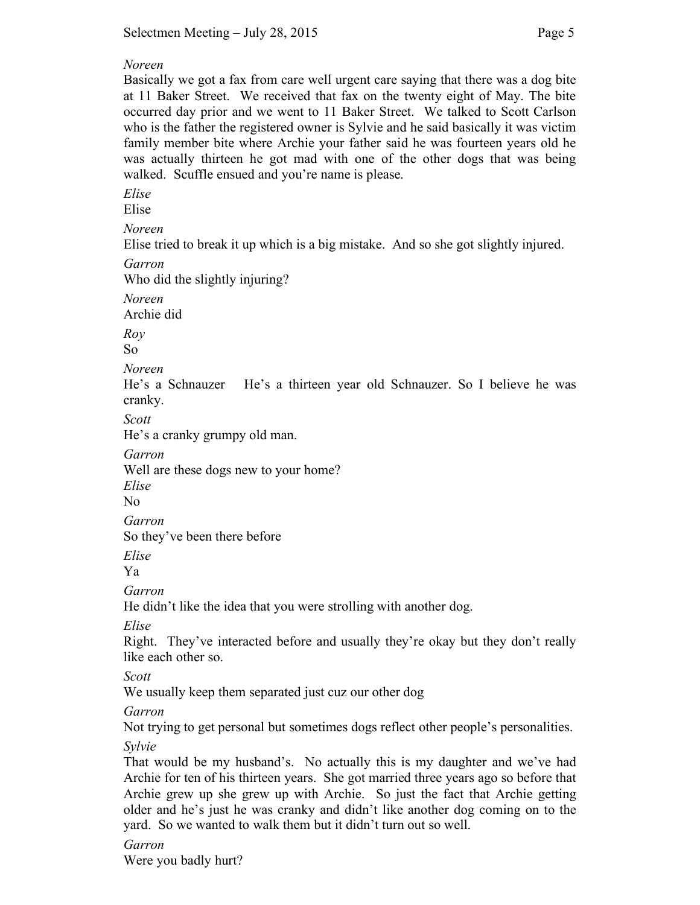#### *Noreen*

Basically we got a fax from care well urgent care saying that there was a dog bite at 11 Baker Street. We received that fax on the twenty eight of May. The bite occurred day prior and we went to 11 Baker Street. We talked to Scott Carlson who is the father the registered owner is Sylvie and he said basically it was victim family member bite where Archie your father said he was fourteen years old he was actually thirteen he got mad with one of the other dogs that was being walked. Scuffle ensued and you're name is please.

*Elise*

Elise

*Noreen*

Elise tried to break it up which is a big mistake. And so she got slightly injured.

*Garron* 

Who did the slightly injuring?

*Noreen*  Archie did

*Roy*

So

*Noreen* 

He's a Schnauzer He's a thirteen year old Schnauzer. So I believe he was cranky.

*Scott* 

He's a cranky grumpy old man.

*Garron*

Well are these dogs new to your home?

*Elise*

No

*Garron*

So they've been there before

*Elise*

Ya

*Garron* 

He didn't like the idea that you were strolling with another dog.

*Elise*

Right. They've interacted before and usually they're okay but they don't really like each other so.

*Scott*

We usually keep them separated just cuz our other dog

*Garron*

Not trying to get personal but sometimes dogs reflect other people's personalities.

*Sylvie*

That would be my husband's. No actually this is my daughter and we've had Archie for ten of his thirteen years. She got married three years ago so before that Archie grew up she grew up with Archie. So just the fact that Archie getting older and he's just he was cranky and didn't like another dog coming on to the yard. So we wanted to walk them but it didn't turn out so well.

# *Garron*

Were you badly hurt?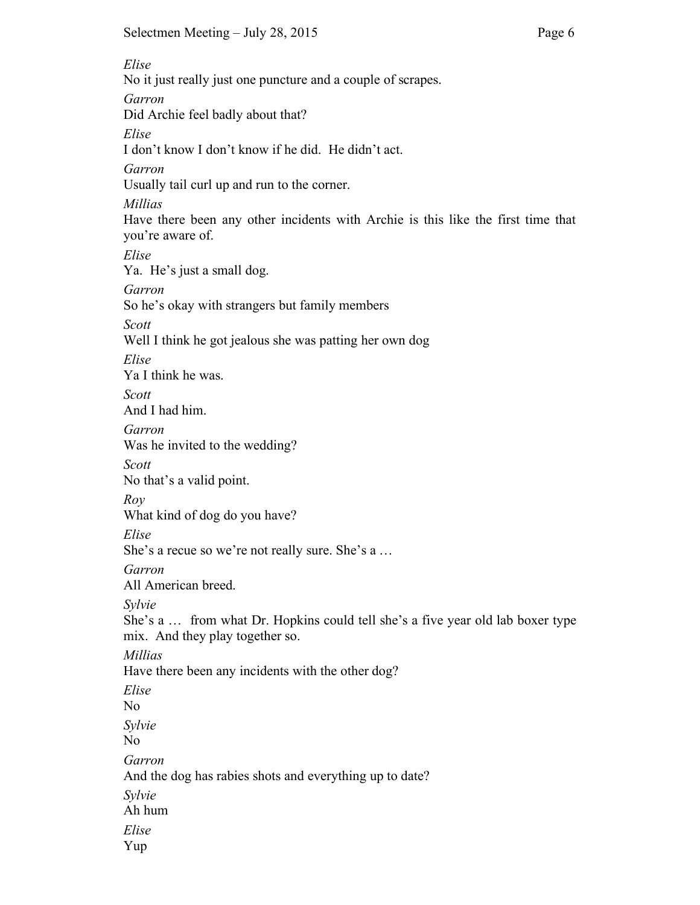*Elise* No it just really just one puncture and a couple of scrapes. *Garron* Did Archie feel badly about that? *Elise* I don't know I don't know if he did. He didn't act. *Garron* Usually tail curl up and run to the corner. *Millias* Have there been any other incidents with Archie is this like the first time that you're aware of. *Elise* Ya. He's just a small dog. *Garron* So he's okay with strangers but family members *Scott* Well I think he got jealous she was patting her own dog *Elise* Ya I think he was. *Scott* And I had him. *Garron* Was he invited to the wedding? *Scott* No that's a valid point. *Roy* What kind of dog do you have? *Elise* She's a recue so we're not really sure. She's a … *Garron* All American breed. *Sylvie* She's a … from what Dr. Hopkins could tell she's a five year old lab boxer type mix. And they play together so. *Millias*  Have there been any incidents with the other dog? *Elise* No *Sylvie* No *Garron* And the dog has rabies shots and everything up to date? *Sylvie* Ah hum *Elise* Yup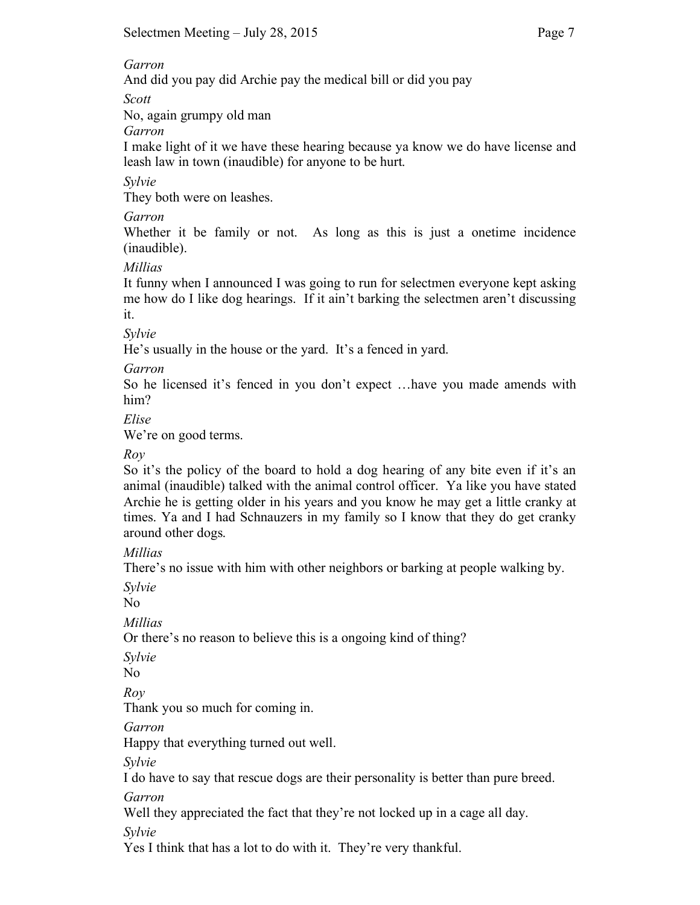## *Garron*

And did you pay did Archie pay the medical bill or did you pay

*Scott*

No, again grumpy old man

*Garron*

I make light of it we have these hearing because ya know we do have license and leash law in town (inaudible) for anyone to be hurt.

*Sylvie*

They both were on leashes.

# *Garron*

Whether it be family or not. As long as this is just a onetime incidence (inaudible).

*Millias*

It funny when I announced I was going to run for selectmen everyone kept asking me how do I like dog hearings. If it ain't barking the selectmen aren't discussing it.

*Sylvie*

He's usually in the house or the yard. It's a fenced in yard.

*Garron*

So he licensed it's fenced in you don't expect …have you made amends with him?

*Elise*

We're on good terms.

*Roy* 

So it's the policy of the board to hold a dog hearing of any bite even if it's an animal (inaudible) talked with the animal control officer. Ya like you have stated Archie he is getting older in his years and you know he may get a little cranky at times. Ya and I had Schnauzers in my family so I know that they do get cranky around other dogs.

*Millias*

There's no issue with him with other neighbors or barking at people walking by.

*Sylvie*

No

*Millias* 

Or there's no reason to believe this is a ongoing kind of thing?

*Sylvie*

No

*Roy*

Thank you so much for coming in.

*Garron*

Happy that everything turned out well.

*Sylvie*

I do have to say that rescue dogs are their personality is better than pure breed.

*Garron*

Well they appreciated the fact that they're not locked up in a cage all day.

*Sylvie*

Yes I think that has a lot to do with it. They're very thankful.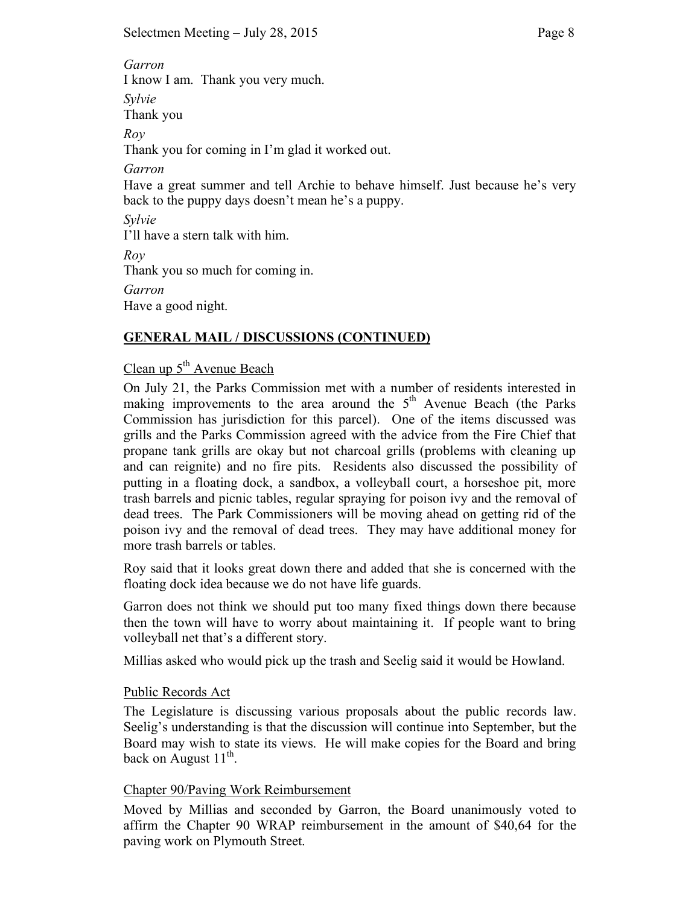*Garron* I know I am. Thank you very much. *Sylvie* Thank you *Roy* Thank you for coming in I'm glad it worked out. *Garron* Have a great summer and tell Archie to behave himself. Just because he's very back to the puppy days doesn't mean he's a puppy. *Sylvie* I'll have a stern talk with him. *Roy* Thank you so much for coming in. *Garron*  Have a good night.

# **GENERAL MAIL / DISCUSSIONS (CONTINUED)**

# Clean up  $5<sup>th</sup>$  Avenue Beach

On July 21, the Parks Commission met with a number of residents interested in making improvements to the area around the  $5<sup>th</sup>$  Avenue Beach (the Parks Commission has jurisdiction for this parcel). One of the items discussed was grills and the Parks Commission agreed with the advice from the Fire Chief that propane tank grills are okay but not charcoal grills (problems with cleaning up and can reignite) and no fire pits. Residents also discussed the possibility of putting in a floating dock, a sandbox, a volleyball court, a horseshoe pit, more trash barrels and picnic tables, regular spraying for poison ivy and the removal of dead trees. The Park Commissioners will be moving ahead on getting rid of the poison ivy and the removal of dead trees. They may have additional money for more trash barrels or tables.

Roy said that it looks great down there and added that she is concerned with the floating dock idea because we do not have life guards.

Garron does not think we should put too many fixed things down there because then the town will have to worry about maintaining it. If people want to bring volleyball net that's a different story.

Millias asked who would pick up the trash and Seelig said it would be Howland.

# Public Records Act

The Legislature is discussing various proposals about the public records law. Seelig's understanding is that the discussion will continue into September, but the Board may wish to state its views. He will make copies for the Board and bring back on August  $11^{th}$ .

# Chapter 90/Paving Work Reimbursement

Moved by Millias and seconded by Garron, the Board unanimously voted to affirm the Chapter 90 WRAP reimbursement in the amount of \$40,64 for the paving work on Plymouth Street.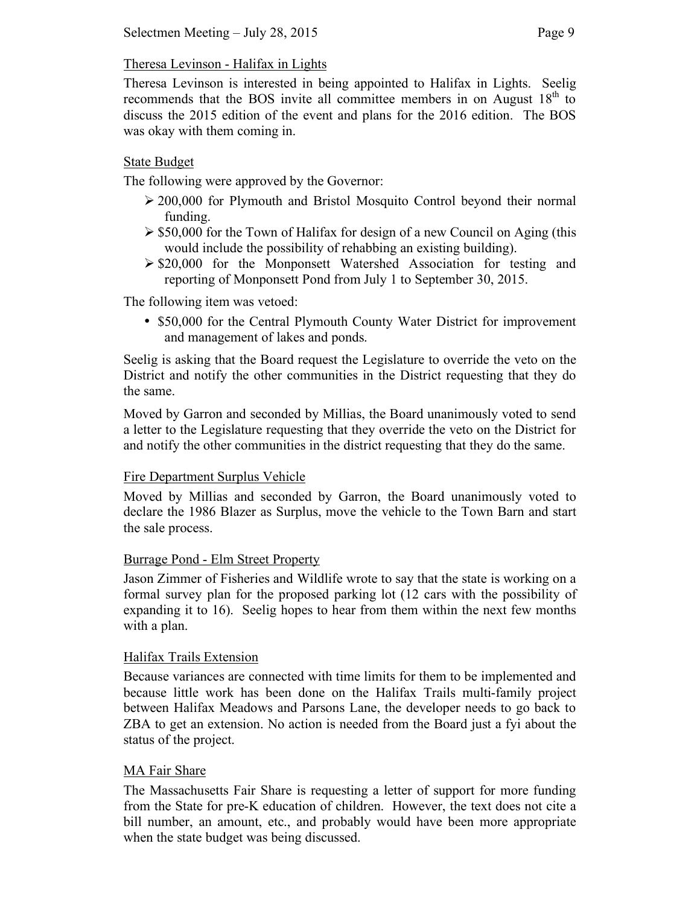# Theresa Levinson - Halifax in Lights

Theresa Levinson is interested in being appointed to Halifax in Lights. Seelig recommends that the BOS invite all committee members in on August  $18<sup>th</sup>$  to discuss the 2015 edition of the event and plans for the 2016 edition. The BOS was okay with them coming in.

# State Budget

The following were approved by the Governor:

- 200,000 for Plymouth and Bristol Mosquito Control beyond their normal funding.
- $\geq$  \$50,000 for the Town of Halifax for design of a new Council on Aging (this would include the possibility of rehabbing an existing building).
- $\geq$  \$20,000 for the Monponsett Watershed Association for testing and reporting of Monponsett Pond from July 1 to September 30, 2015.

The following item was vetoed:

• \$50,000 for the Central Plymouth County Water District for improvement and management of lakes and ponds.

Seelig is asking that the Board request the Legislature to override the veto on the District and notify the other communities in the District requesting that they do the same.

Moved by Garron and seconded by Millias, the Board unanimously voted to send a letter to the Legislature requesting that they override the veto on the District for and notify the other communities in the district requesting that they do the same.

# Fire Department Surplus Vehicle

Moved by Millias and seconded by Garron, the Board unanimously voted to declare the 1986 Blazer as Surplus, move the vehicle to the Town Barn and start the sale process.

# Burrage Pond - Elm Street Property

Jason Zimmer of Fisheries and Wildlife wrote to say that the state is working on a formal survey plan for the proposed parking lot (12 cars with the possibility of expanding it to 16). Seelig hopes to hear from them within the next few months with a plan.

# Halifax Trails Extension

Because variances are connected with time limits for them to be implemented and because little work has been done on the Halifax Trails multi-family project between Halifax Meadows and Parsons Lane, the developer needs to go back to ZBA to get an extension. No action is needed from the Board just a fyi about the status of the project.

# MA Fair Share

The Massachusetts Fair Share is requesting a letter of support for more funding from the State for pre-K education of children. However, the text does not cite a bill number, an amount, etc., and probably would have been more appropriate when the state budget was being discussed.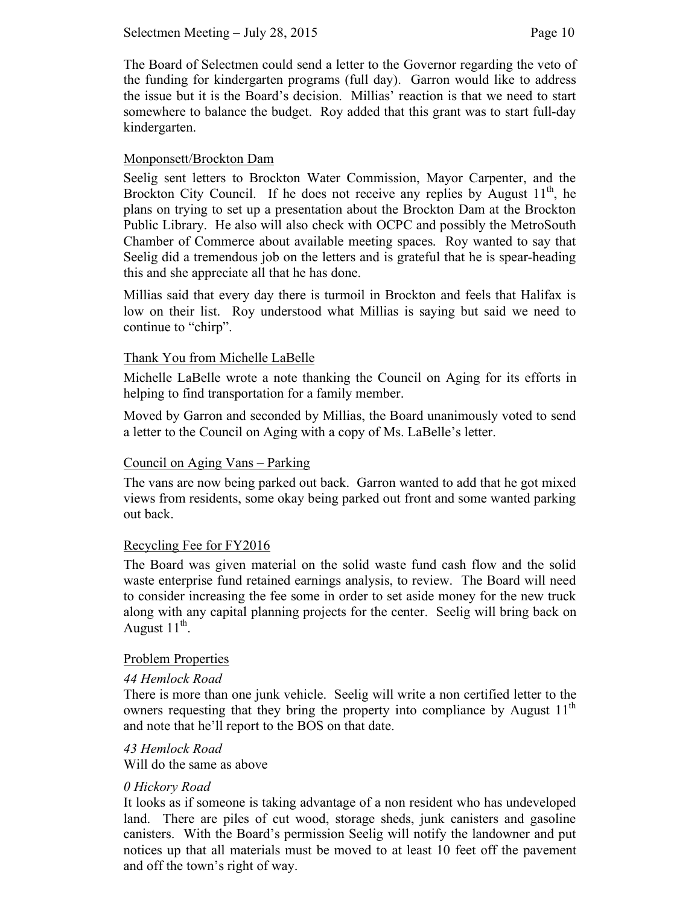The Board of Selectmen could send a letter to the Governor regarding the veto of the funding for kindergarten programs (full day). Garron would like to address the issue but it is the Board's decision. Millias' reaction is that we need to start somewhere to balance the budget. Roy added that this grant was to start full-day kindergarten.

## Monponsett/Brockton Dam

Seelig sent letters to Brockton Water Commission, Mayor Carpenter, and the Brockton City Council. If he does not receive any replies by August  $11<sup>th</sup>$ , he plans on trying to set up a presentation about the Brockton Dam at the Brockton Public Library. He also will also check with OCPC and possibly the MetroSouth Chamber of Commerce about available meeting spaces. Roy wanted to say that Seelig did a tremendous job on the letters and is grateful that he is spear-heading this and she appreciate all that he has done.

Millias said that every day there is turmoil in Brockton and feels that Halifax is low on their list. Roy understood what Millias is saying but said we need to continue to "chirp".

## Thank You from Michelle LaBelle

Michelle LaBelle wrote a note thanking the Council on Aging for its efforts in helping to find transportation for a family member.

Moved by Garron and seconded by Millias, the Board unanimously voted to send a letter to the Council on Aging with a copy of Ms. LaBelle's letter.

#### Council on Aging Vans – Parking

The vans are now being parked out back. Garron wanted to add that he got mixed views from residents, some okay being parked out front and some wanted parking out back.

#### Recycling Fee for FY2016

The Board was given material on the solid waste fund cash flow and the solid waste enterprise fund retained earnings analysis, to review. The Board will need to consider increasing the fee some in order to set aside money for the new truck along with any capital planning projects for the center. Seelig will bring back on August  $11^{th}$ .

#### Problem Properties

#### *44 Hemlock Road*

There is more than one junk vehicle. Seelig will write a non certified letter to the owners requesting that they bring the property into compliance by August  $11<sup>th</sup>$ and note that he'll report to the BOS on that date.

#### *43 Hemlock Road*

Will do the same as above

#### *0 Hickory Road*

It looks as if someone is taking advantage of a non resident who has undeveloped land. There are piles of cut wood, storage sheds, junk canisters and gasoline canisters. With the Board's permission Seelig will notify the landowner and put notices up that all materials must be moved to at least 10 feet off the pavement and off the town's right of way.